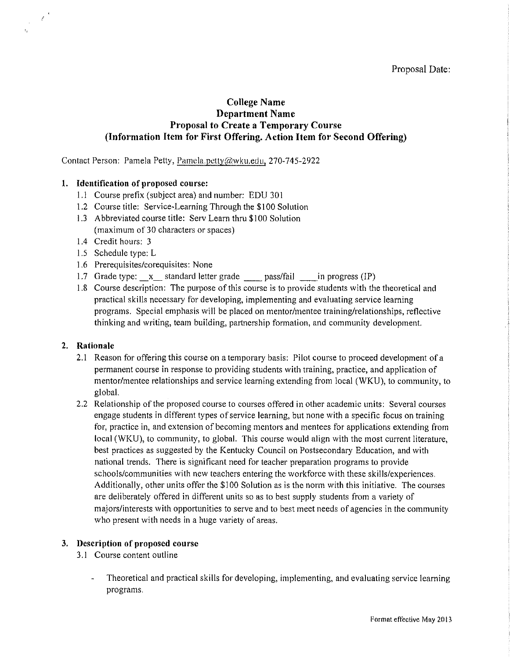# **College Name Department Name Proposal to Create a Temporary Course (Information Item for First Offering. Action Item for Second Offering)**

Contact Person: Pamela Petty, Pamela.petty@wku.edu, 270-745-2922

## **1. Identification of proposed course:**

- 1.1 Course prefix (subject area) and number: EDU 30 I
- 1.2 Course title: Service-Learning Through the \$100 Solution
- 1.3 A bbreviated course title: Serv Learn thru \$100 Solution (maximum of30 characters or spaces)
- 1.4 Credit hours: 3
- 1.5 Schedule type: L
- 1.6 Prerequisites/corequisites: None
- 1.7 Grade type: x \_\_ standard letter grade \_\_\_\_\_ pass/fail \_\_\_\_ in progress (IP)
- 1.8 Course description: The purpose of this course is to provide students with the theoretical and practical skills necessary for developing, implementing and evaluating service learning programs. Special emphasis will be placed on mentor/mentee training/relationships, reflective thinking and writing, team building, partnership formation, and community development.

#### **2. Rationale**

 $\mathcal{L}^{\mathcal{L}}$ 

- 2.1 Reason for offering this course on a temporary basis: Pilot course to proceed development of a permanent course in response to providing students with training, practice, and application of mentor/mentee relationships and service learning extending from local (WKU), to community, to global.
- 2.2 Relationship of the proposed course to courses offered in other academic units: Several courses engage students in different types of service learning, but none with a specific focus on training for, practice in, and extension of becoming mentors and mentees for applications extending from local (WKU), to community, to global. This course would align with the most current literature, best practices as suggested by the Kentucky Council on Postsecondary Education, and with national trends. There is significant need for teacher preparation programs to provide schools/communities with new teachers entering the workforce with these skills/experiences. Additionally, other units offer the \$100 Solution as is the norm with this initiative. The courses are deliberately offered in different units so as to best supply students from a variety of majorslinterests with opportunities to serve and to best meet needs of agencies in the community who present with needs in a huge variety of areas.

## **3. Description of proposed course**

- 3.1 Course content outline
	- Theoretical and practical skills for developing, implementing, and evaluating service learning programs.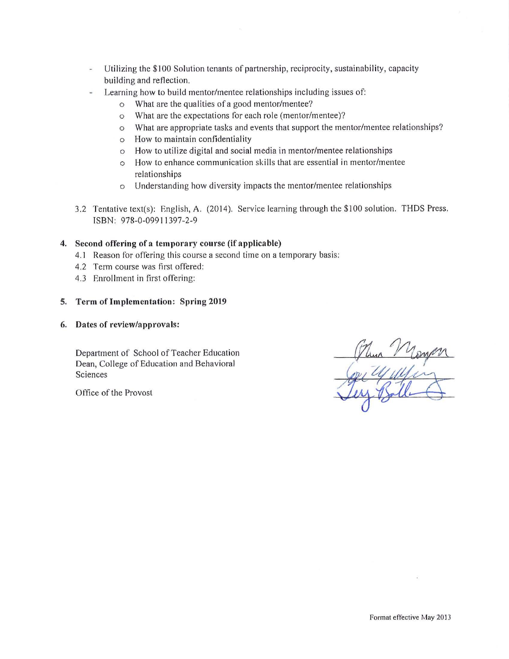- Utilizing the \$100 Solution tenants of partnership, reciprocity, sustainability, capacity  $\overline{\mathbf{r}}$ building and reflection.
- Learning how to build mentor/mentee relationships including issues of:  $\frac{1}{2}$ 
	- o What are the qualities ofa good mentor/mentee?
	- o What are the expectations for each role (mentor/mentee)?
	- o What are appropriate tasks and events that support the mentor/men tee relationships?
	- o How to maintain confidentiality
	- o How to utilize digital and social media in mentor/mentee relationships
	- o How to enhance communication skills that are essential in mentor/mentee relationships
	- o Understanding how diversity impacts the mentor/mentee relationships
- 3.2 Tentative text(s): English, A. (2014). Service learning through the \$100 solution. THDS Press. [SBN: 978-0-09911397-2-9

## 4. Second offering of a temporary course (if applicable)

- 4.1 Reason for offering this course a second time on a temporary basis:
- 4.2 Term course was first offered:
- 4.3 Enrollment in first offering:

#### 5. Term of Implementation: Spring 2019

6. Dates of review/approvals:

Department of School of Teacher Education Dean, College of Education and Behavioral Sciences

Office of the Provost

un Mompon